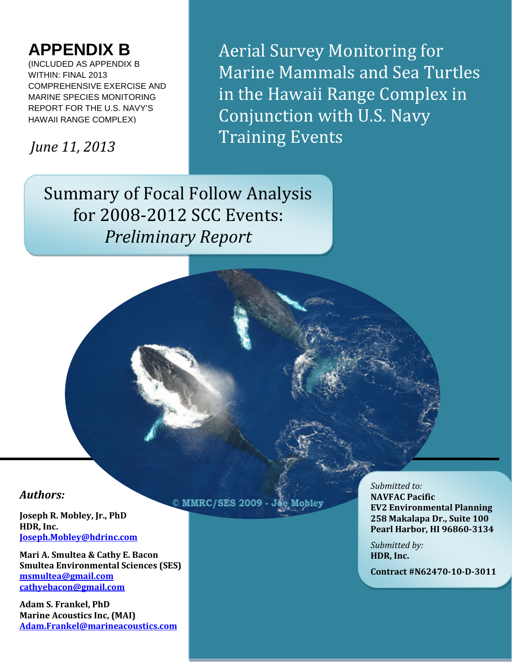# **APPENDIX B**

(INCLUDED AS APPENDIX B WITHIN: FINAL 2013 COMPREHENSIVE EXERCISE AND MARINE SPECIES MONITORING REPORT FOR THE U.S. NAVY'S HAWAII RANGE COMPLEX)

*June 11, 2013*

Aerial Survey Monitoring for Marine Mammals and Sea Turtles in the Hawaii Range Complex in Conjunction with U.S. Navy Training Events

Summary of Focal Follow Analysis for 2008-2012 SCC Events: *Preliminary Report* 

*Authors:* 

**Joseph R. Mobley, Jr., PhD HDR, Inc. [Joseph.Mobley@hdrinc.com](mailto:Joseph.Mobley@hdrinc.com)**

**Mari A. Smultea & Cathy E. Bacon Smultea Environmental Sciences (SES) [msmultea@gmail.com](mailto:msmultea@gmail.com) [cathyebacon@gmail.com](mailto:cathyebacon@gmail.com)**

**Adam S. Frankel, PhD Marine Acoustics Inc, (MAI) Adam.Frankel@marineacoustics.com**

© MMRC/SES 2009 - Jee Mobley

*Submitted to:* **NAVFAC Pacific EV2 Environmental Planning 258 Makalapa Dr., Suite 100 Pearl Harbor, HI 96860-3134**

*Submitted by:* **HDR, Inc.** 

**Contract #N62470-10-D-3011**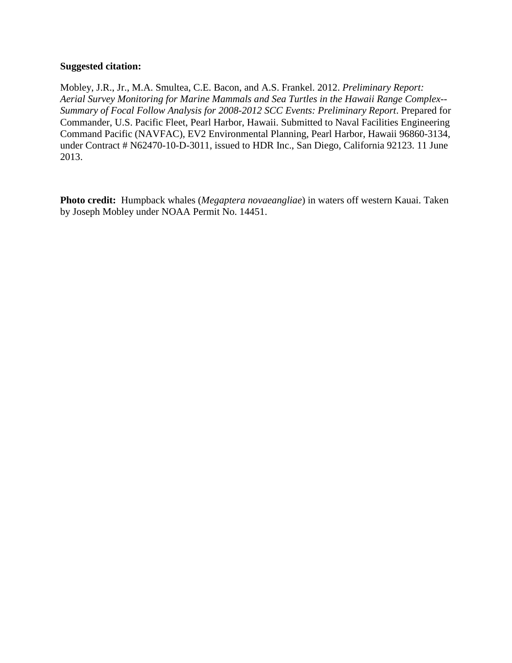#### **Suggested citation:**

Mobley, J.R., Jr., M.A. Smultea, C.E. Bacon, and A.S. Frankel. 2012. *Preliminary Report: Aerial Survey Monitoring for Marine Mammals and Sea Turtles in the Hawaii Range Complex-- Summary of Focal Follow Analysis for 2008-2012 SCC Events: Preliminary Report*. Prepared for Commander, U.S. Pacific Fleet, Pearl Harbor, Hawaii. Submitted to Naval Facilities Engineering Command Pacific (NAVFAC), EV2 Environmental Planning, Pearl Harbor, Hawaii 96860-3134, under Contract # N62470-10-D-3011, issued to HDR Inc., San Diego, California 92123. 11 June 2013.

**Photo credit:** Humpback whales (*Megaptera novaeangliae*) in waters off western Kauai. Taken by Joseph Mobley under NOAA Permit No. 14451.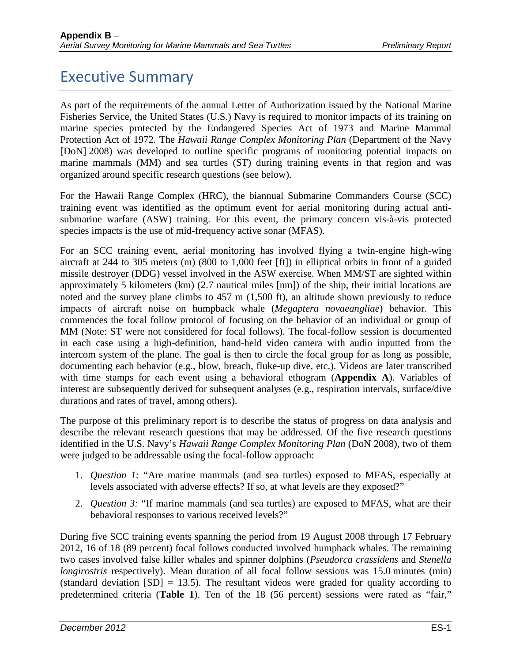### Executive Summary

As part of the requirements of the annual Letter of Authorization issued by the National Marine Fisheries Service, the United States (U.S.) Navy is required to monitor impacts of its training on marine species protected by the Endangered Species Act of 1973 and Marine Mammal Protection Act of 1972. The *Hawaii Range Complex Monitoring Plan* (Department of the Navy [DoN] 2008) was developed to outline specific programs of monitoring potential impacts on marine mammals (MM) and sea turtles (ST) during training events in that region and was organized around specific research questions (see below).

For the Hawaii Range Complex (HRC), the biannual Submarine Commanders Course (SCC) training event was identified as the optimum event for aerial monitoring during actual antisubmarine warfare (ASW) training. For this event, the primary concern vis-à-vis protected species impacts is the use of mid-frequency active sonar (MFAS).

For an SCC training event, aerial monitoring has involved flying a twin-engine high-wing aircraft at 244 to 305 meters (m) (800 to 1,000 feet [ft]) in elliptical orbits in front of a guided missile destroyer (DDG) vessel involved in the ASW exercise. When MM/ST are sighted within approximately 5 kilometers (km) (2.7 nautical miles [nm]) of the ship, their initial locations are noted and the survey plane climbs to 457 m (1,500 ft), an altitude shown previously to reduce impacts of aircraft noise on humpback whale (*Megaptera novaeangliae*) behavior. This commences the focal follow protocol of focusing on the behavior of an individual or group of MM (Note: ST were not considered for focal follows). The focal-follow session is documented in each case using a high-definition, hand-held video camera with audio inputted from the intercom system of the plane. The goal is then to circle the focal group for as long as possible, documenting each behavior (e.g., blow, breach, fluke-up dive, etc.). Videos are later transcribed with time stamps for each event using a behavioral ethogram (**Appendix A**). Variables of interest are subsequently derived for subsequent analyses (e.g., respiration intervals, surface/dive durations and rates of travel, among others).

The purpose of this preliminary report is to describe the status of progress on data analysis and describe the relevant research questions that may be addressed. Of the five research questions identified in the U.S. Navy's *Hawaii Range Complex Monitoring Plan* (DoN 2008), two of them were judged to be addressable using the focal-follow approach:

- 1. *Question 1:* "Are marine mammals (and sea turtles) exposed to MFAS, especially at levels associated with adverse effects? If so, at what levels are they exposed?"
- 2. *Question 3:* "If marine mammals (and sea turtles) are exposed to MFAS, what are their behavioral responses to various received levels?"

During five SCC training events spanning the period from 19 August 2008 through 17 February 2012, 16 of 18 (89 percent) focal follows conducted involved humpback whales. The remaining two cases involved false killer whales and spinner dolphins (*Pseudorca crassidens* and *Stenella longirostris* respectively). Mean duration of all focal follow sessions was 15.0 minutes (min) (standard deviation  $[SD] = 13.5$ ). The resultant videos were graded for quality according to predetermined criteria (**Table 1**). Ten of the 18 (56 percent) sessions were rated as "fair,"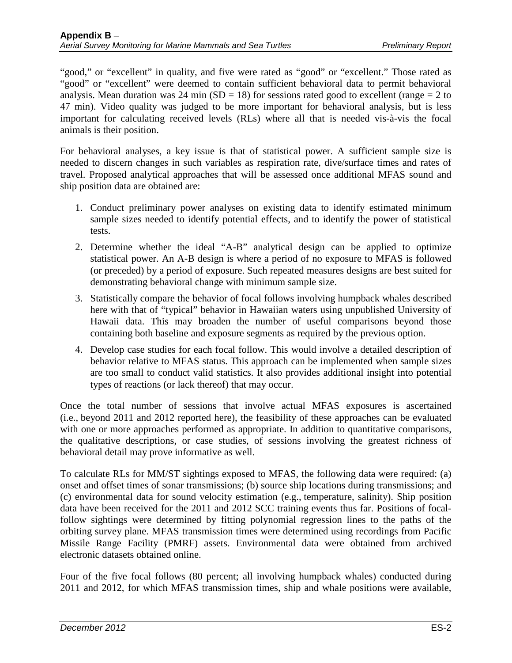"good," or "excellent" in quality, and five were rated as "good" or "excellent." Those rated as "good" or "excellent" were deemed to contain sufficient behavioral data to permit behavioral analysis. Mean duration was 24 min (SD = 18) for sessions rated good to excellent (range = 2 to 47 min). Video quality was judged to be more important for behavioral analysis, but is less important for calculating received levels (RLs) where all that is needed vis-à-vis the focal animals is their position.

For behavioral analyses, a key issue is that of statistical power. A sufficient sample size is needed to discern changes in such variables as respiration rate, dive/surface times and rates of travel. Proposed analytical approaches that will be assessed once additional MFAS sound and ship position data are obtained are:

- 1. Conduct preliminary power analyses on existing data to identify estimated minimum sample sizes needed to identify potential effects, and to identify the power of statistical tests.
- 2. Determine whether the ideal "A-B" analytical design can be applied to optimize statistical power. An A-B design is where a period of no exposure to MFAS is followed (or preceded) by a period of exposure. Such repeated measures designs are best suited for demonstrating behavioral change with minimum sample size.
- 3. Statistically compare the behavior of focal follows involving humpback whales described here with that of "typical" behavior in Hawaiian waters using unpublished University of Hawaii data. This may broaden the number of useful comparisons beyond those containing both baseline and exposure segments as required by the previous option.
- 4. Develop case studies for each focal follow. This would involve a detailed description of behavior relative to MFAS status. This approach can be implemented when sample sizes are too small to conduct valid statistics. It also provides additional insight into potential types of reactions (or lack thereof) that may occur.

Once the total number of sessions that involve actual MFAS exposures is ascertained (i.e., beyond 2011 and 2012 reported here), the feasibility of these approaches can be evaluated with one or more approaches performed as appropriate. In addition to quantitative comparisons, the qualitative descriptions, or case studies, of sessions involving the greatest richness of behavioral detail may prove informative as well.

To calculate RLs for MM/ST sightings exposed to MFAS, the following data were required: (a) onset and offset times of sonar transmissions; (b) source ship locations during transmissions; and (c) environmental data for sound velocity estimation (e.g., temperature, salinity). Ship position data have been received for the 2011 and 2012 SCC training events thus far. Positions of focalfollow sightings were determined by fitting polynomial regression lines to the paths of the orbiting survey plane. MFAS transmission times were determined using recordings from Pacific Missile Range Facility (PMRF) assets. Environmental data were obtained from archived electronic datasets obtained online.

Four of the five focal follows (80 percent; all involving humpback whales) conducted during 2011 and 2012, for which MFAS transmission times, ship and whale positions were available,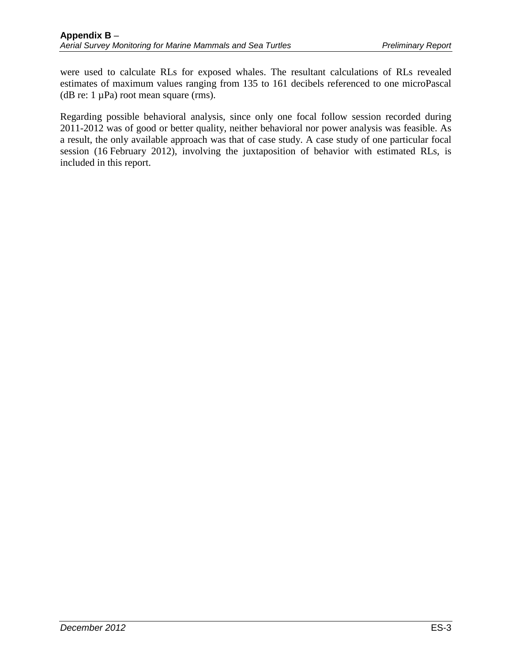were used to calculate RLs for exposed whales. The resultant calculations of RLs revealed estimates of maximum values ranging from 135 to 161 decibels referenced to one microPascal (dB re:  $1 \mu Pa$ ) root mean square (rms).

Regarding possible behavioral analysis, since only one focal follow session recorded during 2011-2012 was of good or better quality, neither behavioral nor power analysis was feasible. As a result, the only available approach was that of case study. A case study of one particular focal session (16 February 2012), involving the juxtaposition of behavior with estimated RLs, is included in this report.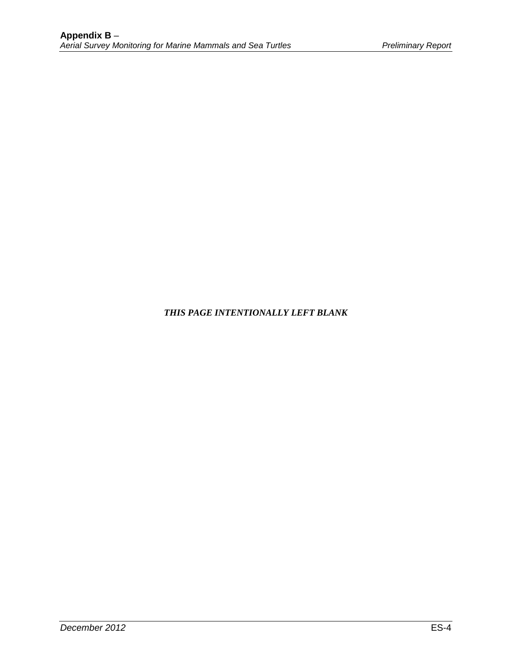### *THIS PAGE INTENTIONALLY LEFT BLANK*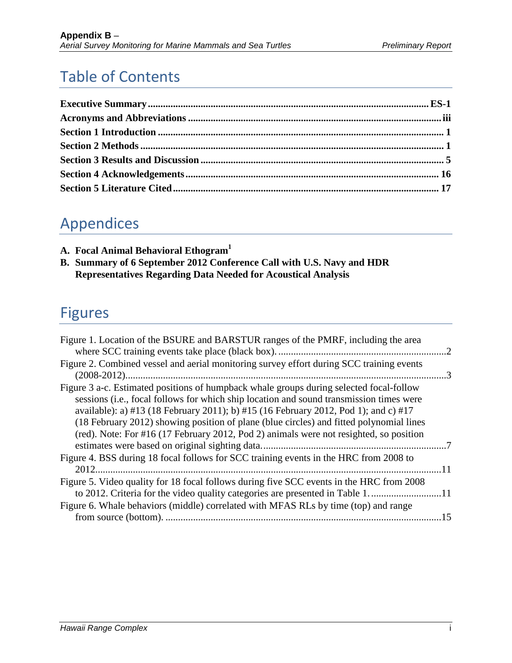# Table of Contents

## Appendices

- **A. [Focal Animal Behavioral Ethogram1](#page-30-0)**
- **B. [Summary of 6 September 2012 Conference Call with U.S.](#page-32-0) Navy and HDR [Representatives Regarding Data Needed for Acoustical Analysis](#page-32-0)**

## Figures

| Figure 1. Location of the BSURE and BARSTUR ranges of the PMRF, including the area                                                                                                                                                                                                                                                                                                                                                                             |    |
|----------------------------------------------------------------------------------------------------------------------------------------------------------------------------------------------------------------------------------------------------------------------------------------------------------------------------------------------------------------------------------------------------------------------------------------------------------------|----|
| Figure 2. Combined vessel and aerial monitoring survey effort during SCC training events                                                                                                                                                                                                                                                                                                                                                                       |    |
| Figure 3 a-c. Estimated positions of humpback whale groups during selected focal-follow<br>sessions (i.e., focal follows for which ship location and sound transmission times were<br>available): a) #13 (18 February 2011); b) #15 (16 February 2012, Pod 1); and c) #17<br>(18 February 2012) showing position of plane (blue circles) and fitted polynomial lines<br>(red). Note: For #16 (17 February 2012, Pod 2) animals were not resighted, so position |    |
|                                                                                                                                                                                                                                                                                                                                                                                                                                                                |    |
| Figure 4. BSS during 18 focal follows for SCC training events in the HRC from 2008 to                                                                                                                                                                                                                                                                                                                                                                          |    |
| 2012.                                                                                                                                                                                                                                                                                                                                                                                                                                                          | 11 |
| Figure 5. Video quality for 18 focal follows during five SCC events in the HRC from 2008                                                                                                                                                                                                                                                                                                                                                                       |    |
| to 2012. Criteria for the video quality categories are presented in Table 111                                                                                                                                                                                                                                                                                                                                                                                  |    |
| Figure 6. Whale behaviors (middle) correlated with MFAS RLs by time (top) and range                                                                                                                                                                                                                                                                                                                                                                            |    |
|                                                                                                                                                                                                                                                                                                                                                                                                                                                                |    |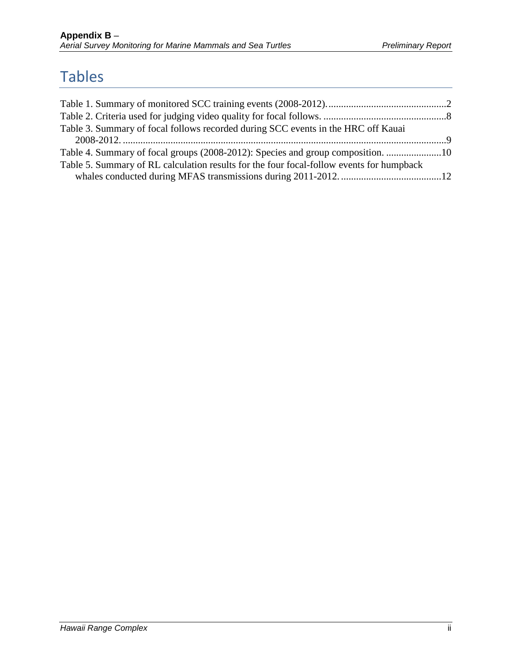## Tables

| Table 3. Summary of focal follows recorded during SCC events in the HRC off Kauai        |  |
|------------------------------------------------------------------------------------------|--|
|                                                                                          |  |
| Table 4. Summary of focal groups (2008-2012): Species and group composition. 10          |  |
| Table 5. Summary of RL calculation results for the four focal-follow events for humpback |  |
|                                                                                          |  |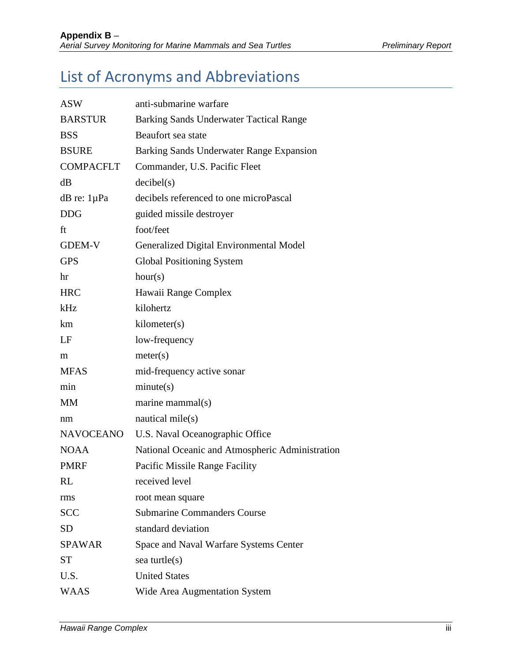# List of Acronyms and Abbreviations

| <b>ASW</b>       | anti-submarine warfare                          |
|------------------|-------------------------------------------------|
| <b>BARSTUR</b>   | <b>Barking Sands Underwater Tactical Range</b>  |
| <b>BSS</b>       | Beaufort sea state                              |
| <b>BSURE</b>     | Barking Sands Underwater Range Expansion        |
| <b>COMPACFLT</b> | Commander, U.S. Pacific Fleet                   |
| dB               | decibel(s)                                      |
| dB re: 1µPa      | decibels referenced to one microPascal          |
| <b>DDG</b>       | guided missile destroyer                        |
| ft               | foot/feet                                       |
| <b>GDEM-V</b>    | Generalized Digital Environmental Model         |
| <b>GPS</b>       | <b>Global Positioning System</b>                |
| hr               | hour(s)                                         |
| <b>HRC</b>       | Hawaii Range Complex                            |
| kHz              | kilohertz                                       |
| km               | kilometer(s)                                    |
| LF               | low-frequency                                   |
| m                | meter(s)                                        |
| <b>MFAS</b>      | mid-frequency active sonar                      |
| min              | minute(s)                                       |
| <b>MM</b>        | marine mammal(s)                                |
| nm               | nautical mile(s)                                |
| <b>NAVOCEANO</b> | U.S. Naval Oceanographic Office                 |
| <b>NOAA</b>      | National Oceanic and Atmospheric Administration |
| <b>PMRF</b>      | Pacific Missile Range Facility                  |
| RL               | received level                                  |
| rms              | root mean square                                |
| <b>SCC</b>       | <b>Submarine Commanders Course</b>              |
| <b>SD</b>        | standard deviation                              |
| <b>SPAWAR</b>    | Space and Naval Warfare Systems Center          |
| <b>ST</b>        | sea turtle(s)                                   |
| U.S.             | <b>United States</b>                            |
| <b>WAAS</b>      | Wide Area Augmentation System                   |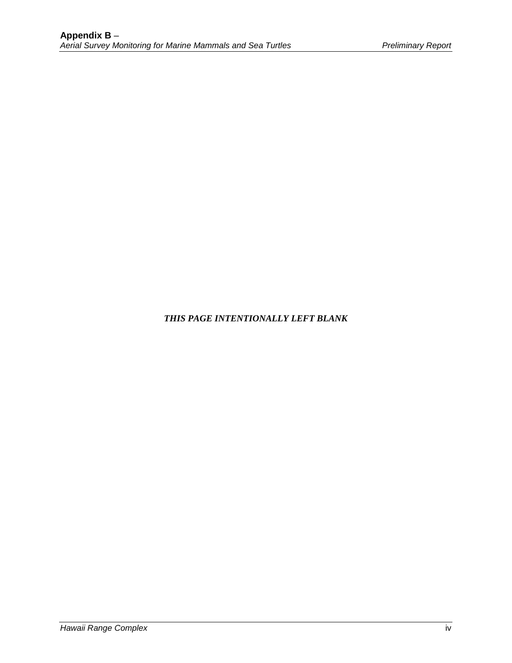#### *THIS PAGE INTENTIONALLY LEFT BLANK*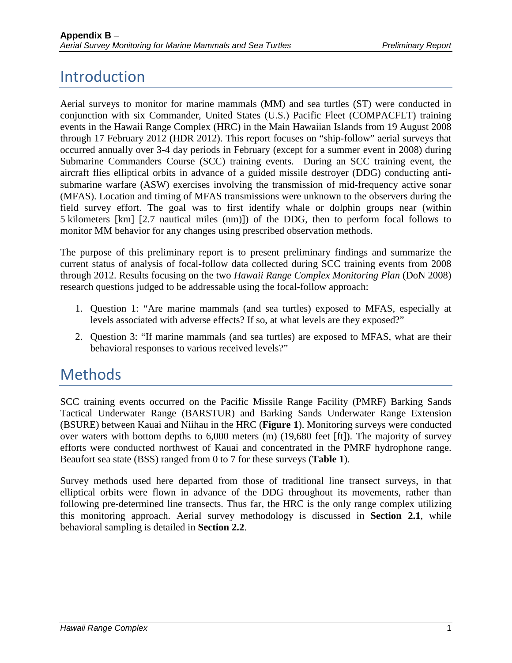## <span id="page-10-0"></span>Introduction

Aerial surveys to monitor for marine mammals (MM) and sea turtles (ST) were conducted in conjunction with six Commander, United States (U.S.) Pacific Fleet (COMPACFLT) training events in the Hawaii Range Complex (HRC) in the Main Hawaiian Islands from 19 August 2008 through 17 February 2012 (HDR 2012). This report focuses on "ship-follow" aerial surveys that occurred annually over 3-4 day periods in February (except for a summer event in 2008) during Submarine Commanders Course (SCC) training events. During an SCC training event, the aircraft flies elliptical orbits in advance of a guided missile destroyer (DDG) conducting antisubmarine warfare (ASW) exercises involving the transmission of mid-frequency active sonar (MFAS). Location and timing of MFAS transmissions were unknown to the observers during the field survey effort. The goal was to first identify whale or dolphin groups near (within 5 kilometers [km] [2.7 nautical miles (nm)]) of the DDG, then to perform focal follows to monitor MM behavior for any changes using prescribed observation methods.

The purpose of this preliminary report is to present preliminary findings and summarize the current status of analysis of focal-follow data collected during SCC training events from 2008 through 2012. Results focusing on the two *Hawaii Range Complex Monitoring Plan* (DoN 2008) research questions judged to be addressable using the focal-follow approach:

- 1. Question 1: "Are marine mammals (and sea turtles) exposed to MFAS, especially at levels associated with adverse effects? If so, at what levels are they exposed?"
- 2. Question 3: "If marine mammals (and sea turtles) are exposed to MFAS, what are their behavioral responses to various received levels?"

### <span id="page-10-1"></span>Methods

SCC training events occurred on the Pacific Missile Range Facility (PMRF) Barking Sands Tactical Underwater Range (BARSTUR) and Barking Sands Underwater Range Extension (BSURE) between Kauai and Niihau in the HRC (**Figure 1**). Monitoring surveys were conducted over waters with bottom depths to 6,000 meters (m) (19,680 feet [ft]). The majority of survey efforts were conducted northwest of Kauai and concentrated in the PMRF hydrophone range. Beaufort sea state (BSS) ranged from 0 to 7 for these surveys (**Table 1**).

Survey methods used here departed from those of traditional line transect surveys, in that elliptical orbits were flown in advance of the DDG throughout its movements, rather than following pre-determined line transects. Thus far, the HRC is the only range complex utilizing this monitoring approach. Aerial survey methodology is discussed in **Section 2.1**, while behavioral sampling is detailed in **Section 2.2**.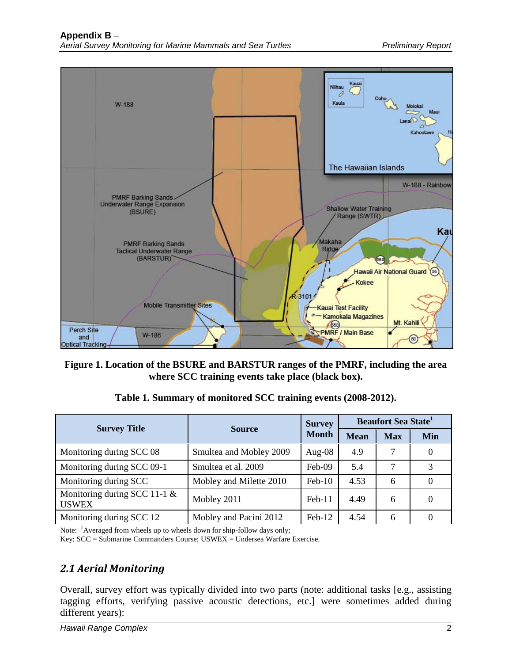

<span id="page-11-0"></span>**Figure 1. Location of the BSURE and BARSTUR ranges of the PMRF, including the area where SCC training events take place (black box).**

|  |  |  | Table 1. Summary of monitored SCC training events (2008-2012). |
|--|--|--|----------------------------------------------------------------|
|--|--|--|----------------------------------------------------------------|

<span id="page-11-1"></span>

| <b>Survey Title</b>                             |                         | <b>Survey</b> | <b>Beaufort Sea State</b> |            |          |
|-------------------------------------------------|-------------------------|---------------|---------------------------|------------|----------|
|                                                 | <b>Source</b>           |               | <b>Mean</b>               | <b>Max</b> | Min      |
| Monitoring during SCC 08                        | Smultea and Mobley 2009 | Aug- $08$     | 4.9                       | 7          |          |
| Monitoring during SCC 09-1                      | Smultea et al. 2009     | Feb-09        | 5.4                       |            | 3        |
| Monitoring during SCC                           | Mobley and Milette 2010 | $Feb-10$      | 4.53                      | 6          |          |
| Monitoring during SCC 11-1 $\&$<br><b>USWEX</b> | Mobley 2011             | $Feb-11$      | 4.49                      | 6          | $\Omega$ |
| Monitoring during SCC 12                        | Mobley and Pacini 2012  | Feb-12        | 4.54                      | 6          |          |

Note: <sup>1</sup>Averaged from wheels up to wheels down for ship-follow days only;

Key: SCC = Submarine Commanders Course; USWEX = Undersea Warfare Exercise.

### *2.1 Aerial Monitoring*

Overall, survey effort was typically divided into two parts (note: additional tasks [e.g., assisting tagging efforts, verifying passive acoustic detections, etc.] were sometimes added during different years):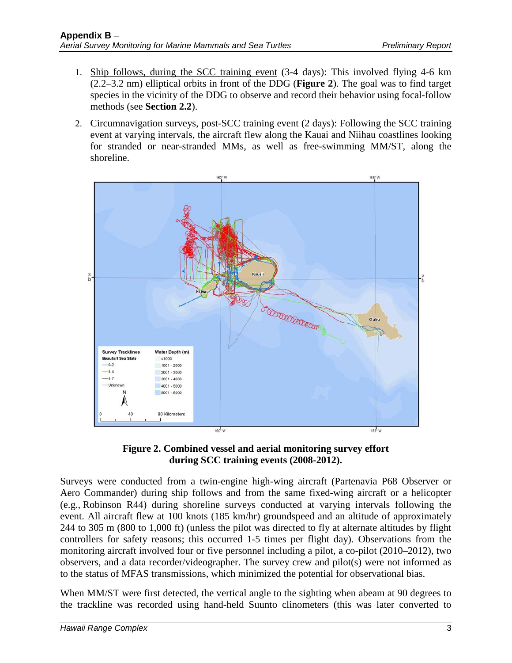- 1. Ship follows, during the SCC training event (3-4 days): This involved flying 4-6 km (2.2–3.2 nm) elliptical orbits in front of the DDG (**Figure 2**). The goal was to find target species in the vicinity of the DDG to observe and record their behavior using focal-follow methods (see **Section 2.2**).
- 2. Circumnavigation surveys, post-SCC training event (2 days): Following the SCC training event at varying intervals, the aircraft flew along the Kauai and Niihau coastlines looking for stranded or near-stranded MMs, as well as free-swimming MM/ST, along the shoreline.





<span id="page-12-0"></span>Surveys were conducted from a twin-engine high-wing aircraft (Partenavia P68 Observer or Aero Commander) during ship follows and from the same fixed-wing aircraft or a helicopter (e.g., Robinson R44) during shoreline surveys conducted at varying intervals following the event. All aircraft flew at 100 knots (185 km/hr) groundspeed and an altitude of approximately 244 to 305 m (800 to 1,000 ft) (unless the pilot was directed to fly at alternate altitudes by flight controllers for safety reasons; this occurred 1-5 times per flight day). Observations from the monitoring aircraft involved four or five personnel including a pilot, a co-pilot (2010–2012), two observers, and a data recorder/videographer. The survey crew and pilot(s) were not informed as to the status of MFAS transmissions, which minimized the potential for observational bias.

When MM/ST were first detected, the vertical angle to the sighting when abeam at 90 degrees to the trackline was recorded using hand-held Suunto clinometers (this was later converted to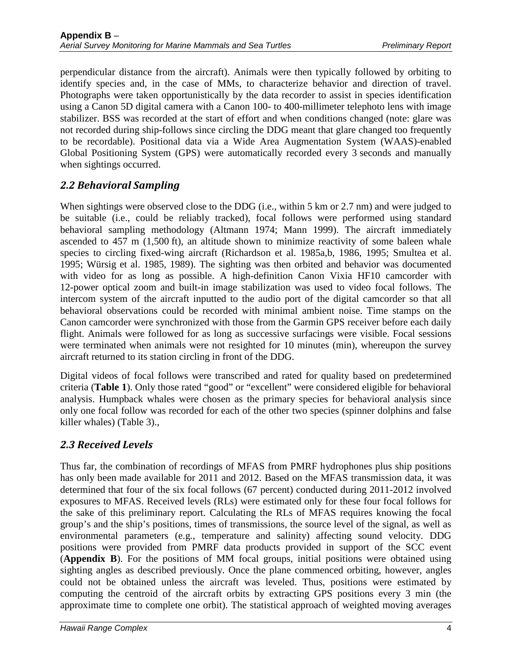perpendicular distance from the aircraft). Animals were then typically followed by orbiting to identify species and, in the case of MMs, to characterize behavior and direction of travel. Photographs were taken opportunistically by the data recorder to assist in species identification using a Canon 5D digital camera with a Canon 100- to 400-millimeter telephoto lens with image stabilizer. BSS was recorded at the start of effort and when conditions changed (note: glare was not recorded during ship-follows since circling the DDG meant that glare changed too frequently to be recordable). Positional data via a Wide Area Augmentation System (WAAS)-enabled Global Positioning System (GPS) were automatically recorded every 3 seconds and manually when sightings occurred.

### *2.2 Behavioral Sampling*

When sightings were observed close to the DDG (i.e., within 5 km or 2.7 nm) and were judged to be suitable (i.e., could be reliably tracked), focal follows were performed using standard behavioral sampling methodology (Altmann 1974; Mann 1999). The aircraft immediately ascended to 457 m (1,500 ft), an altitude shown to minimize reactivity of some baleen whale species to circling fixed-wing aircraft (Richardson et al. 1985a,b, 1986, 1995; Smultea et al. 1995; Würsig et al. 1985, 1989). The sighting was then orbited and behavior was documented with video for as long as possible. A high-definition Canon Vixia HF10 camcorder with 12-power optical zoom and built-in image stabilization was used to video focal follows. The intercom system of the aircraft inputted to the audio port of the digital camcorder so that all behavioral observations could be recorded with minimal ambient noise. Time stamps on the Canon camcorder were synchronized with those from the Garmin GPS receiver before each daily flight. Animals were followed for as long as successive surfacings were visible. Focal sessions were terminated when animals were not resighted for 10 minutes (min), whereupon the survey aircraft returned to its station circling in front of the DDG.

Digital videos of focal follows were transcribed and rated for quality based on predetermined criteria (**Table 1**). Only those rated "good" or "excellent" were considered eligible for behavioral analysis. Humpback whales were chosen as the primary species for behavioral analysis since only one focal follow was recorded for each of the other two species (spinner dolphins and false killer whales) (Table 3).,

### *2.3 Received Levels*

Thus far, the combination of recordings of MFAS from PMRF hydrophones plus ship positions has only been made available for 2011 and 2012. Based on the MFAS transmission data, it was determined that four of the six focal follows (67 percent) conducted during 2011-2012 involved exposures to MFAS. Received levels (RLs) were estimated only for these four focal follows for the sake of this preliminary report. Calculating the RLs of MFAS requires knowing the focal group's and the ship's positions, times of transmissions, the source level of the signal, as well as environmental parameters (e.g., temperature and salinity) affecting sound velocity. DDG positions were provided from PMRF data products provided in support of the SCC event (**Appendix B**). For the positions of MM focal groups, initial positions were obtained using sighting angles as described previously. Once the plane commenced orbiting, however, angles could not be obtained unless the aircraft was leveled. Thus, positions were estimated by computing the centroid of the aircraft orbits by extracting GPS positions every 3 min (the approximate time to complete one orbit). The statistical approach of weighted moving averages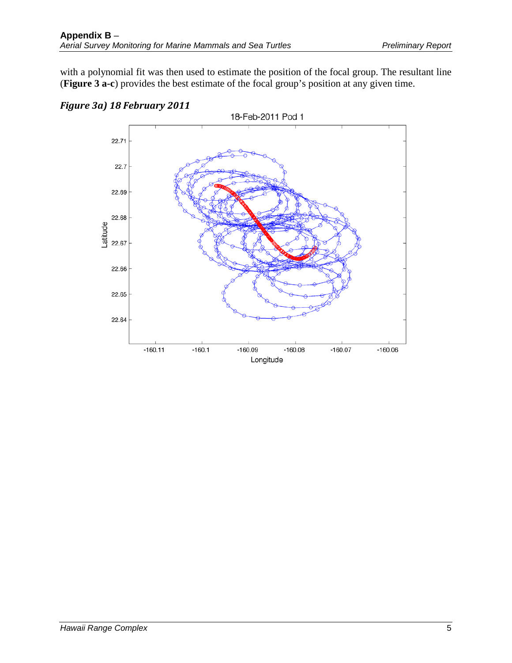with a polynomial fit was then used to estimate the position of the focal group. The resultant line (**Figure 3 a-c**) provides the best estimate of the focal group's position at any given time.



<span id="page-14-0"></span>*Figure 3a) 18 February 2011*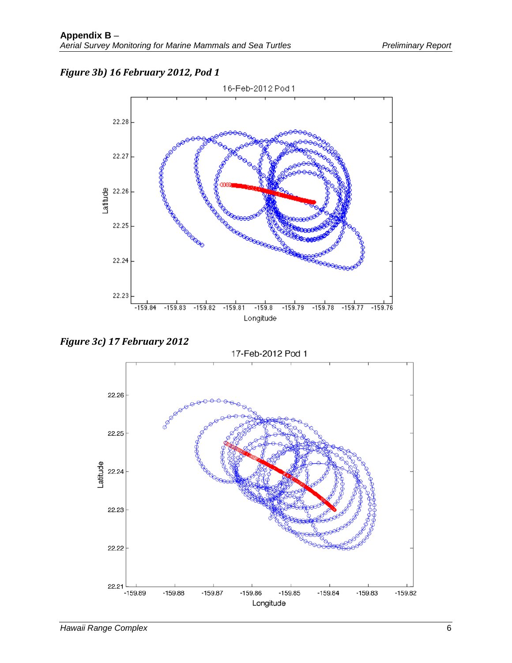### *Figure 3b) 16 February 2012, Pod 1*



*Figure 3c) 17 February 2012*

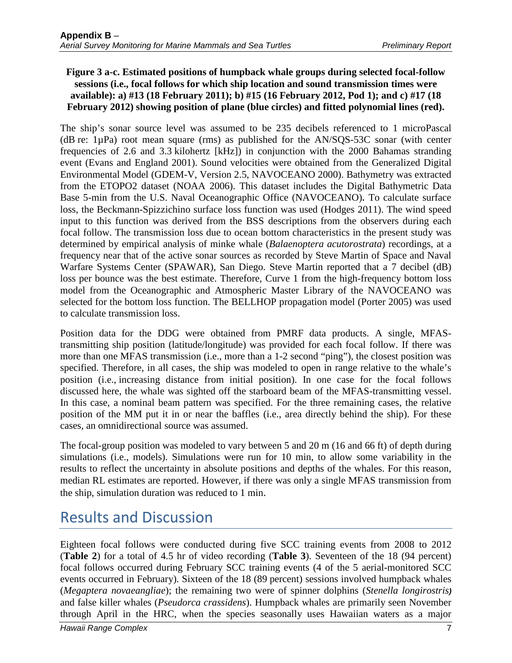#### <span id="page-16-0"></span>**Figure 3 a-c. Estimated positions of humpback whale groups during selected focal-follow sessions (i.e., focal follows for which ship location and sound transmission times were available): a) #13 (18 February 2011); b) #15 (16 February 2012, Pod 1); and c) #17 (18 February 2012) showing position of plane (blue circles) and fitted polynomial lines (red).**

The ship's sonar source level was assumed to be 235 decibels referenced to 1 microPascal (dB re: 1µPa) root mean square (rms) as published for the AN/SQS-53C sonar (with center frequencies of 2.6 and 3.3 kilohertz [kHz]) in conjunction with the 2000 Bahamas stranding event (Evans and England 2001). Sound velocities were obtained from the Generalized Digital Environmental Model (GDEM-V, Version 2.5, NAVOCEANO 2000). Bathymetry was extracted from the ETOPO2 dataset (NOAA 2006). This dataset includes the Digital Bathymetric Data Base 5-min from the U.S. Naval Oceanographic Office (NAVOCEANO)**.** To calculate surface loss, the Beckmann-Spizzichino surface loss function was used (Hodges 2011). The wind speed input to this function was derived from the BSS descriptions from the observers during each focal follow. The transmission loss due to ocean bottom characteristics in the present study was determined by empirical analysis of minke whale (*Balaenoptera acutorostrata*) recordings, at a frequency near that of the active sonar sources as recorded by Steve Martin of Space and Naval Warfare Systems Center (SPAWAR), San Diego. Steve Martin reported that a 7 decibel (dB) loss per bounce was the best estimate. Therefore, Curve 1 from the high-frequency bottom loss model from the Oceanographic and Atmospheric Master Library of the NAVOCEANO was selected for the bottom loss function. The BELLHOP propagation model (Porter 2005) was used to calculate transmission loss.

Position data for the DDG were obtained from PMRF data products. A single, MFAStransmitting ship position (latitude/longitude) was provided for each focal follow. If there was more than one MFAS transmission (i.e., more than a 1-2 second "ping"), the closest position was specified. Therefore, in all cases, the ship was modeled to open in range relative to the whale's position (i.e., increasing distance from initial position). In one case for the focal follows discussed here, the whale was sighted off the starboard beam of the MFAS-transmitting vessel. In this case, a nominal beam pattern was specified. For the three remaining cases, the relative position of the MM put it in or near the baffles (i.e., area directly behind the ship). For these cases, an omnidirectional source was assumed.

The focal-group position was modeled to vary between 5 and 20 m (16 and 66 ft) of depth during simulations (i.e., models). Simulations were run for 10 min, to allow some variability in the results to reflect the uncertainty in absolute positions and depths of the whales. For this reason, median RL estimates are reported. However, if there was only a single MFAS transmission from the ship, simulation duration was reduced to 1 min.

## Results and Discussion

Eighteen focal follows were conducted during five SCC training events from 2008 to 2012 (**Table 2**) for a total of 4.5 hr of video recording (**Table 3**). Seventeen of the 18 (94 percent) focal follows occurred during February SCC training events (4 of the 5 aerial-monitored SCC events occurred in February). Sixteen of the 18 (89 percent) sessions involved humpback whales (*Megaptera novaeangliae*); the remaining two were of spinner dolphins (*Stenella longirostris)* and false killer whales (*Pseudorca crassidens*). Humpback whales are primarily seen November through April in the HRC, when the species seasonally uses Hawaiian waters as a major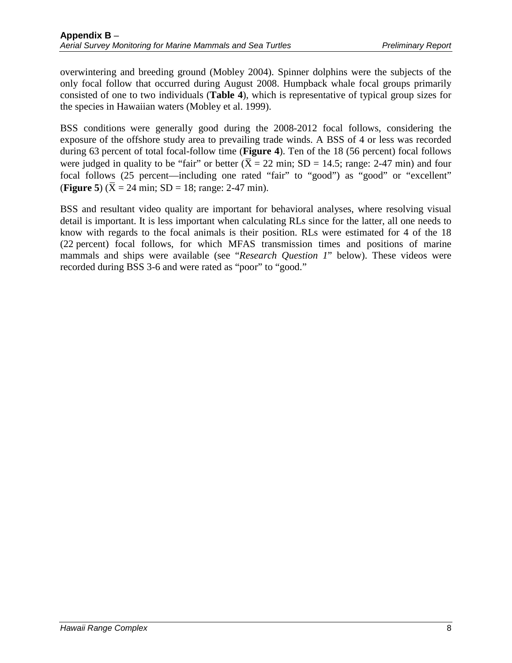overwintering and breeding ground (Mobley 2004). Spinner dolphins were the subjects of the only focal follow that occurred during August 2008. Humpback whale focal groups primarily consisted of one to two individuals (**Table 4**), which is representative of typical group sizes for the species in Hawaiian waters (Mobley et al. 1999).

BSS conditions were generally good during the 2008-2012 focal follows, considering the exposure of the offshore study area to prevailing trade winds. A BSS of 4 or less was recorded during 63 percent of total focal-follow time (**Figure 4**). Ten of the 18 (56 percent) focal follows were judged in quality to be "fair" or better  $(X = 22 \text{ min}; SD = 14.5; \text{ range}: 2-47 \text{ min})$  and four focal follows (25 percent—including one rated "fair" to "good") as "good" or "excellent" **(Figure 5)**  $(X = 24 \text{ min}; SD = 18; \text{ range}: 2-47 \text{ min}).$ 

<span id="page-17-0"></span>BSS and resultant video quality are important for behavioral analyses, where resolving visual detail is important. It is less important when calculating RLs since for the latter, all one needs to know with regards to the focal animals is their position. RLs were estimated for 4 of the 18 (22 percent) focal follows, for which MFAS transmission times and positions of marine mammals and ships were available (see "*Research Question 1*" below). These videos were recorded during BSS 3-6 and were rated as "poor" to "good."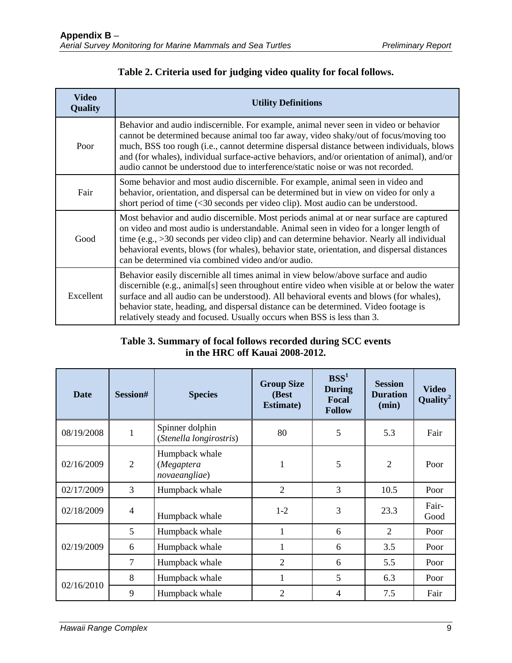| <b>Video</b><br><b>Quality</b> | <b>Utility Definitions</b>                                                                                                                                                                                                                                                                                                                                                                                                                                      |
|--------------------------------|-----------------------------------------------------------------------------------------------------------------------------------------------------------------------------------------------------------------------------------------------------------------------------------------------------------------------------------------------------------------------------------------------------------------------------------------------------------------|
| Poor                           | Behavior and audio indiscernible. For example, animal never seen in video or behavior<br>cannot be determined because animal too far away, video shaky/out of focus/moving too<br>much, BSS too rough (i.e., cannot determine dispersal distance between individuals, blows<br>and (for whales), individual surface-active behaviors, and/or orientation of animal), and/or<br>audio cannot be understood due to interference/static noise or was not recorded. |
| Fair                           | Some behavior and most audio discernible. For example, animal seen in video and<br>behavior, orientation, and dispersal can be determined but in view on video for only a<br>short period of time (<30 seconds per video clip). Most audio can be understood.                                                                                                                                                                                                   |
| Good                           | Most behavior and audio discernible. Most periods animal at or near surface are captured<br>on video and most audio is understandable. Animal seen in video for a longer length of<br>time $(e.g., >30$ seconds per video clip) and can determine behavior. Nearly all individual<br>behavioral events, blows (for whales), behavior state, orientation, and dispersal distances<br>can be determined via combined video and/or audio.                          |
| Excellent                      | Behavior easily discernible all times animal in view below/above surface and audio<br>discernible (e.g., animal[s] seen throughout entire video when visible at or below the water<br>surface and all audio can be understood). All behavioral events and blows (for whales),<br>behavior state, heading, and dispersal distance can be determined. Video footage is<br>relatively steady and focused. Usually occurs when BSS is less than 3.                  |

### **Table 2. Criteria used for judging video quality for focal follows.**

#### **Table 3. Summary of focal follows recorded during SCC events in the HRC off Kauai 2008-2012.**

<span id="page-18-0"></span>

| Date       | Session#       | <b>Species</b>                                | <b>Group Size</b><br>(Best<br><b>Estimate</b> ) | BSS <sup>1</sup><br><b>During</b><br>Focal<br><b>Follow</b> | <b>Session</b><br><b>Duration</b><br>(min) | <b>Video</b><br>Quality <sup>2</sup> |
|------------|----------------|-----------------------------------------------|-------------------------------------------------|-------------------------------------------------------------|--------------------------------------------|--------------------------------------|
| 08/19/2008 | 1              | Spinner dolphin<br>(Stenella longirostris)    | 80                                              | 5                                                           | 5.3                                        | Fair                                 |
| 02/16/2009 | $\overline{2}$ | Humpback whale<br>(Megaptera<br>novaeangliae) | $\mathbf{1}$                                    | 5                                                           | $\overline{2}$<br>Poor                     |                                      |
| 02/17/2009 | 3              | Humpback whale                                | $\overline{2}$                                  | 3                                                           | 10.5                                       | Poor                                 |
| 02/18/2009 | $\overline{4}$ | Humpback whale                                | $1-2$                                           | 3                                                           | 23.3                                       | Fair-<br>Good                        |
|            | 5              | Humpback whale                                | 1                                               | 6                                                           | $\overline{2}$                             | Poor                                 |
| 02/19/2009 | 6              | Humpback whale                                | 1                                               | 6                                                           | 3.5                                        | Poor                                 |
|            | $\overline{7}$ | Humpback whale                                | $\overline{2}$                                  | 6                                                           | 5.5                                        | Poor                                 |
| 02/16/2010 | 8              | Humpback whale                                | $\mathbf{1}$                                    | 5                                                           | 6.3                                        | Poor                                 |
|            | 9              | Humpback whale                                | $\overline{2}$                                  | 4                                                           | 7.5                                        | Fair                                 |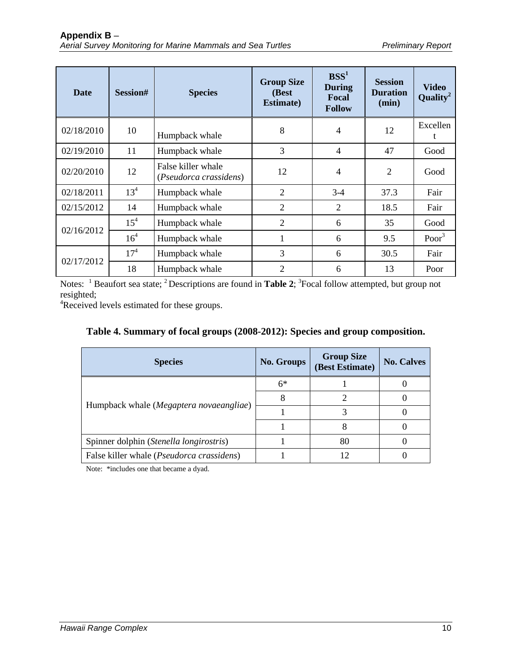| <b>Date</b> | <b>Session#</b> | <b>Species</b>                               | <b>Group Size</b><br>(Best<br><b>Estimate</b> ) | BSS <sup>1</sup><br><b>During</b><br>Focal<br><b>Follow</b> | <b>Session</b><br><b>Duration</b><br>(min) | <b>Video</b><br>Quality <sup>2</sup> |
|-------------|-----------------|----------------------------------------------|-------------------------------------------------|-------------------------------------------------------------|--------------------------------------------|--------------------------------------|
| 02/18/2010  | 10              | Humpback whale                               | 8                                               | $\overline{4}$                                              | 12                                         | Excellen                             |
| 02/19/2010  | 11              | Humpback whale                               | 3                                               | $\overline{4}$                                              | 47                                         | Good                                 |
| 02/20/2010  | 12              | False killer whale<br>(Pseudorca crassidens) | 12                                              | $\overline{4}$                                              | $\overline{2}$                             | Good                                 |
| 02/18/2011  | $13^{4}$        | Humpback whale                               | $\overline{2}$                                  | $3-4$                                                       | 37.3                                       | Fair                                 |
| 02/15/2012  | 14              | Humpback whale                               | $\overline{2}$                                  | 2                                                           | 18.5                                       | Fair                                 |
| 02/16/2012  | 15 <sup>4</sup> | Humpback whale                               | $\overline{2}$                                  | 6                                                           | 35                                         | Good                                 |
|             | 16 <sup>4</sup> | Humpback whale                               | $\mathbf{1}$                                    | 6                                                           | 9.5                                        | Poor <sup>3</sup>                    |
| 02/17/2012  | $17^{4}$        | Humpback whale                               | 3                                               | 6                                                           | 30.5                                       | Fair                                 |
|             | 18              | Humpback whale                               | $\overline{2}$                                  | 6                                                           | 13                                         | Poor                                 |

Notes: <sup>1</sup> Beaufort sea state; <sup>2</sup> Descriptions are found in **Table 2**; <sup>3</sup> Focal follow attempted, but group not resighted;

<span id="page-19-0"></span><sup>4</sup>Received levels estimated for these groups.

|  |  | Table 4. Summary of focal groups (2008-2012): Species and group composition. |  |  |
|--|--|------------------------------------------------------------------------------|--|--|
|  |  |                                                                              |  |  |

| <b>Species</b>                                     | <b>No. Groups</b> | <b>Group Size</b><br>(Best Estimate) | <b>No. Calves</b> |
|----------------------------------------------------|-------------------|--------------------------------------|-------------------|
|                                                    | $6*$              |                                      |                   |
|                                                    |                   |                                      |                   |
| Humpback whale (Megaptera novaeangliae)            |                   |                                      |                   |
|                                                    |                   |                                      |                   |
| Spinner dolphin (Stenella longirostris)            |                   | 80                                   |                   |
| False killer whale ( <i>Pseudorca crassidens</i> ) |                   |                                      |                   |

Note: \*includes one that became a dyad.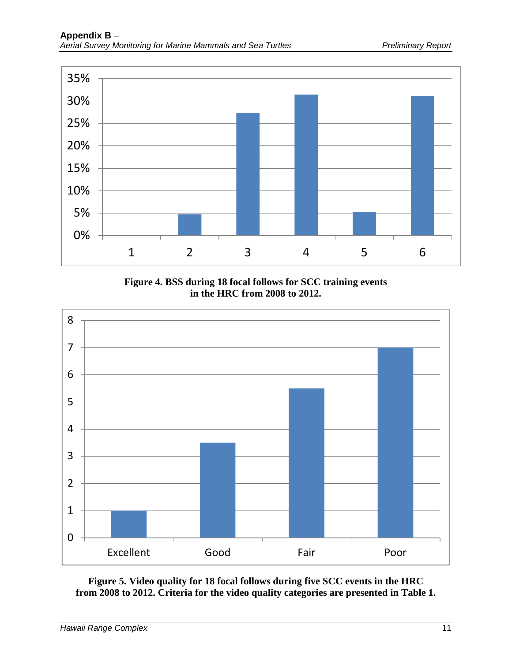

**Figure 4. BSS during 18 focal follows for SCC training events in the HRC from 2008 to 2012.** 

<span id="page-20-0"></span>

<span id="page-20-1"></span>**Figure 5. Video quality for 18 focal follows during five SCC events in the HRC from 2008 to 2012. Criteria for the video quality categories are presented in Table 1.**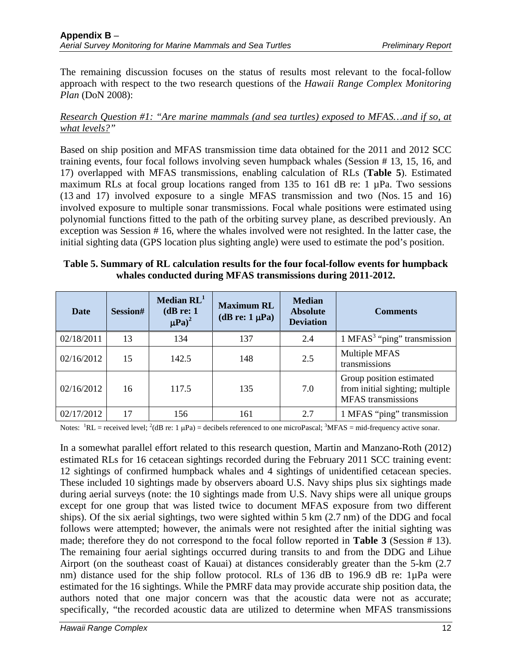The remaining discussion focuses on the status of results most relevant to the focal-follow approach with respect to the two research questions of the *Hawaii Range Complex Monitoring Plan* (DoN 2008):

#### *Research Question #1: "Are marine mammals (and sea turtles) exposed to MFAS…and if so, at what levels?"*

Based on ship position and MFAS transmission time data obtained for the 2011 and 2012 SCC training events, four focal follows involving seven humpback whales (Session # 13, 15, 16, and 17) overlapped with MFAS transmissions, enabling calculation of RLs (**Table 5**). Estimated maximum RLs at focal group locations ranged from 135 to 161 dB re: 1 µPa. Two sessions (13 and 17) involved exposure to a single MFAS transmission and two (Nos. 15 and 16) involved exposure to multiple sonar transmissions. Focal whale positions were estimated using polynomial functions fitted to the path of the orbiting survey plane, as described previously. An exception was Session # 16, where the whales involved were not resighted. In the latter case, the initial sighting data (GPS location plus sighting angle) were used to estimate the pod's position.

<span id="page-21-0"></span>

| Table 5. Summary of RL calculation results for the four focal-follow events for humpback |
|------------------------------------------------------------------------------------------|
| whales conducted during MFAS transmissions during 2011-2012.                             |

| Date       | <b>Session#</b> | Median $RL1$<br>(dB re: 1)<br>$\mu$ Pa) <sup>2</sup> | <b>Maximum RL</b><br>(dB re: $1 \mu Pa$ ) | <b>Median</b><br><b>Absolute</b><br><b>Deviation</b> | <b>Comments</b>                                                                          |
|------------|-----------------|------------------------------------------------------|-------------------------------------------|------------------------------------------------------|------------------------------------------------------------------------------------------|
| 02/18/2011 | 13              | 134                                                  | 137                                       | 2.4                                                  | $1$ MFAS <sup>3</sup> "ping" transmission                                                |
| 02/16/2012 | 15              | 142.5                                                | 148                                       | 2.5                                                  | Multiple MFAS<br>transmissions                                                           |
| 02/16/2012 | 16              | 117.5                                                | 135                                       | 7.0                                                  | Group position estimated<br>from initial sighting; multiple<br><b>MFAS</b> transmissions |
| 02/17/2012 | 17              | 156                                                  | 161                                       | 2.7                                                  | 1 MFAS "ping" transmission                                                               |

Notes:  ${}^{1}RL$  = received level;  ${}^{2}$ (dB re: 1 µPa) = decibels referenced to one microPascal;  ${}^{3}MRAS$  = mid-frequency active sonar.

In a somewhat parallel effort related to this research question, Martin and Manzano-Roth (2012) estimated RLs for 16 cetacean sightings recorded during the February 2011 SCC training event: 12 sightings of confirmed humpback whales and 4 sightings of unidentified cetacean species. These included 10 sightings made by observers aboard U.S. Navy ships plus six sightings made during aerial surveys (note: the 10 sightings made from U.S. Navy ships were all unique groups except for one group that was listed twice to document MFAS exposure from two different ships). Of the six aerial sightings, two were sighted within 5 km (2.7 nm) of the DDG and focal follows were attempted; however, the animals were not resighted after the initial sighting was made; therefore they do not correspond to the focal follow reported in **Table 3** (Session # 13). The remaining four aerial sightings occurred during transits to and from the DDG and Lihue Airport (on the southeast coast of Kauai) at distances considerably greater than the 5-km (2.7 nm) distance used for the ship follow protocol. RLs of 136 dB to 196.9 dB re: 1µPa were estimated for the 16 sightings. While the PMRF data may provide accurate ship position data, the authors noted that one major concern was that the acoustic data were not as accurate; specifically, "the recorded acoustic data are utilized to determine when MFAS transmissions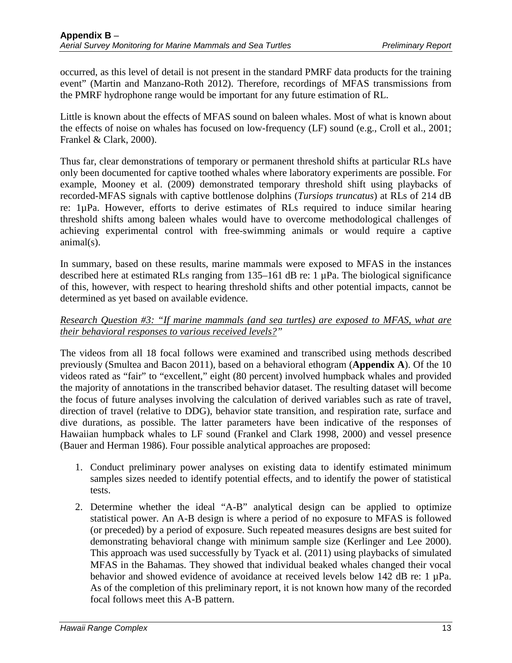occurred, as this level of detail is not present in the standard PMRF data products for the training event" (Martin and Manzano-Roth 2012). Therefore, recordings of MFAS transmissions from the PMRF hydrophone range would be important for any future estimation of RL.

Little is known about the effects of MFAS sound on baleen whales. Most of what is known about the effects of noise on whales has focused on low-frequency (LF) sound (e.g., Croll et al., 2001; Frankel & Clark, 2000).

Thus far, clear demonstrations of temporary or permanent threshold shifts at particular RLs have only been documented for captive toothed whales where laboratory experiments are possible. For example, Mooney et al. (2009) demonstrated temporary threshold shift using playbacks of recorded-MFAS signals with captive bottlenose dolphins (*Tursiops truncatus*) at RLs of 214 dB re: 1µPa. However, efforts to derive estimates of RLs required to induce similar hearing threshold shifts among baleen whales would have to overcome methodological challenges of achieving experimental control with free-swimming animals or would require a captive animal(s).

In summary, based on these results, marine mammals were exposed to MFAS in the instances described here at estimated RLs ranging from 135–161 dB re: 1 µPa. The biological significance of this, however, with respect to hearing threshold shifts and other potential impacts, cannot be determined as yet based on available evidence.

#### *Research Question #3: "If marine mammals (and sea turtles) are exposed to MFAS, what are their behavioral responses to various received levels?"*

The videos from all 18 focal follows were examined and transcribed using methods described previously (Smultea and Bacon 2011), based on a behavioral ethogram (**Appendix A**). Of the 10 videos rated as "fair" to "excellent," eight (80 percent) involved humpback whales and provided the majority of annotations in the transcribed behavior dataset. The resulting dataset will become the focus of future analyses involving the calculation of derived variables such as rate of travel, direction of travel (relative to DDG), behavior state transition, and respiration rate, surface and dive durations, as possible. The latter parameters have been indicative of the responses of Hawaiian humpback whales to LF sound (Frankel and Clark 1998, 2000) and vessel presence (Bauer and Herman 1986). Four possible analytical approaches are proposed:

- 1. Conduct preliminary power analyses on existing data to identify estimated minimum samples sizes needed to identify potential effects, and to identify the power of statistical tests.
- 2. Determine whether the ideal "A-B" analytical design can be applied to optimize statistical power. An A-B design is where a period of no exposure to MFAS is followed (or preceded) by a period of exposure. Such repeated measures designs are best suited for demonstrating behavioral change with minimum sample size (Kerlinger and Lee 2000). This approach was used successfully by Tyack et al. (2011) using playbacks of simulated MFAS in the Bahamas. They showed that individual beaked whales changed their vocal behavior and showed evidence of avoidance at received levels below 142 dB re: 1  $\mu$ Pa. As of the completion of this preliminary report, it is not known how many of the recorded focal follows meet this A-B pattern.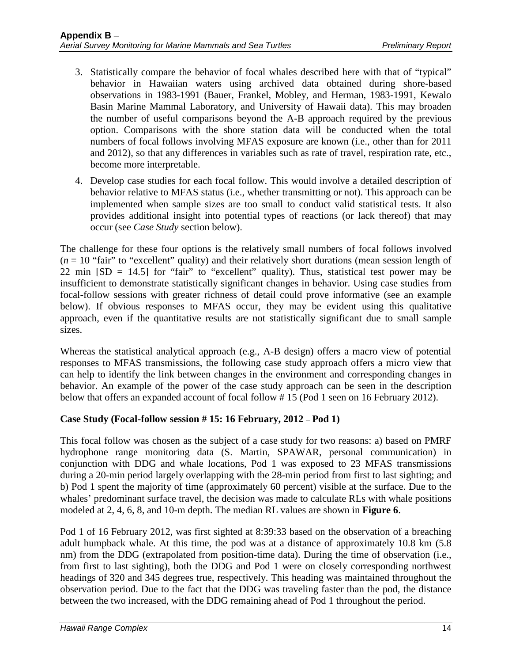- 3. Statistically compare the behavior of focal whales described here with that of "typical" behavior in Hawaiian waters using archived data obtained during shore-based observations in 1983-1991 (Bauer, Frankel, Mobley, and Herman, 1983-1991, Kewalo Basin Marine Mammal Laboratory, and University of Hawaii data). This may broaden the number of useful comparisons beyond the A-B approach required by the previous option. Comparisons with the shore station data will be conducted when the total numbers of focal follows involving MFAS exposure are known (i.e., other than for 2011 and 2012), so that any differences in variables such as rate of travel, respiration rate, etc., become more interpretable.
- 4. Develop case studies for each focal follow. This would involve a detailed description of behavior relative to MFAS status (i.e., whether transmitting or not). This approach can be implemented when sample sizes are too small to conduct valid statistical tests. It also provides additional insight into potential types of reactions (or lack thereof) that may occur (see *Case Study* section below).

The challenge for these four options is the relatively small numbers of focal follows involved  $(n = 10$  "fair" to "excellent" quality) and their relatively short durations (mean session length of 22 min  $[SD = 14.5]$  for "fair" to "excellent" quality). Thus, statistical test power may be insufficient to demonstrate statistically significant changes in behavior. Using case studies from focal-follow sessions with greater richness of detail could prove informative (see an example below). If obvious responses to MFAS occur, they may be evident using this qualitative approach, even if the quantitative results are not statistically significant due to small sample sizes.

Whereas the statistical analytical approach (e.g., A-B design) offers a macro view of potential responses to MFAS transmissions, the following case study approach offers a micro view that can help to identify the link between changes in the environment and corresponding changes in behavior. An example of the power of the case study approach can be seen in the description below that offers an expanded account of focal follow # 15 (Pod 1 seen on 16 February 2012).

#### **Case Study (Focal-follow session # 15: 16 February, 2012** *–* **Pod 1)**

This focal follow was chosen as the subject of a case study for two reasons: a) based on PMRF hydrophone range monitoring data (S. Martin, SPAWAR, personal communication) in conjunction with DDG and whale locations, Pod 1 was exposed to 23 MFAS transmissions during a 20-min period largely overlapping with the 28-min period from first to last sighting; and b) Pod 1 spent the majority of time (approximately 60 percent) visible at the surface. Due to the whales' predominant surface travel, the decision was made to calculate RLs with whale positions modeled at 2, 4, 6, 8, and 10-m depth. The median RL values are shown in **Figure 6**.

Pod 1 of 16 February 2012, was first sighted at 8:39:33 based on the observation of a breaching adult humpback whale. At this time, the pod was at a distance of approximately 10.8 km (5.8 nm) from the DDG (extrapolated from position-time data). During the time of observation (i.e., from first to last sighting), both the DDG and Pod 1 were on closely corresponding northwest headings of 320 and 345 degrees true, respectively. This heading was maintained throughout the observation period. Due to the fact that the DDG was traveling faster than the pod, the distance between the two increased, with the DDG remaining ahead of Pod 1 throughout the period.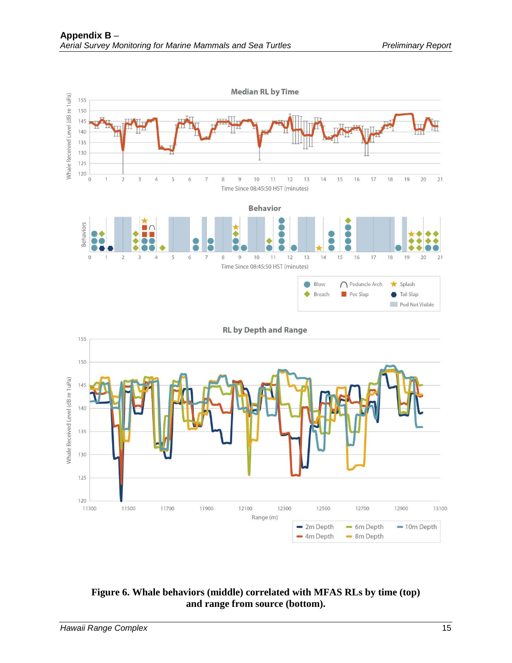

#### <span id="page-24-0"></span>**Figure 6. Whale behaviors (middle) correlated with MFAS RLs by time (top) and range from source (bottom).**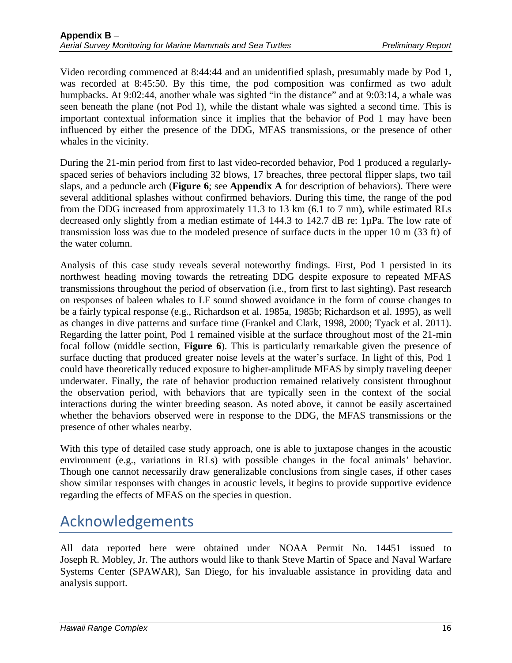Video recording commenced at 8:44:44 and an unidentified splash, presumably made by Pod 1, was recorded at 8:45:50. By this time, the pod composition was confirmed as two adult humpbacks. At 9:02:44, another whale was sighted "in the distance" and at 9:03:14, a whale was seen beneath the plane (not Pod 1), while the distant whale was sighted a second time. This is important contextual information since it implies that the behavior of Pod 1 may have been influenced by either the presence of the DDG, MFAS transmissions, or the presence of other whales in the vicinity.

During the 21-min period from first to last video-recorded behavior, Pod 1 produced a regularlyspaced series of behaviors including 32 blows, 17 breaches, three pectoral flipper slaps, two tail slaps, and a peduncle arch (**Figure 6**; see **Appendix A** for description of behaviors). There were several additional splashes without confirmed behaviors. During this time, the range of the pod from the DDG increased from approximately 11.3 to 13 km (6.1 to 7 nm), while estimated RLs decreased only slightly from a median estimate of 144.3 to 142.7 dB re: 1µPa. The low rate of transmission loss was due to the modeled presence of surface ducts in the upper 10 m (33 ft) of the water column.

Analysis of this case study reveals several noteworthy findings. First, Pod 1 persisted in its northwest heading moving towards the retreating DDG despite exposure to repeated MFAS transmissions throughout the period of observation (i.e., from first to last sighting). Past research on responses of baleen whales to LF sound showed avoidance in the form of course changes to be a fairly typical response (e.g., Richardson et al. 1985a, 1985b; Richardson et al. 1995), as well as changes in dive patterns and surface time (Frankel and Clark, 1998, 2000; Tyack et al. 2011). Regarding the latter point, Pod 1 remained visible at the surface throughout most of the 21-min focal follow (middle section, **Figure 6**). This is particularly remarkable given the presence of surface ducting that produced greater noise levels at the water's surface. In light of this, Pod 1 could have theoretically reduced exposure to higher-amplitude MFAS by simply traveling deeper underwater. Finally, the rate of behavior production remained relatively consistent throughout the observation period, with behaviors that are typically seen in the context of the social interactions during the winter breeding season. As noted above, it cannot be easily ascertained whether the behaviors observed were in response to the DDG, the MFAS transmissions or the presence of other whales nearby.

With this type of detailed case study approach, one is able to juxtapose changes in the acoustic environment (e.g., variations in RLs) with possible changes in the focal animals' behavior. Though one cannot necessarily draw generalizable conclusions from single cases, if other cases show similar responses with changes in acoustic levels, it begins to provide supportive evidence regarding the effects of MFAS on the species in question.

# <span id="page-25-0"></span>Acknowledgements

All data reported here were obtained under NOAA Permit No. 14451 issued to Joseph R. Mobley, Jr. The authors would like to thank Steve Martin of Space and Naval Warfare Systems Center (SPAWAR), San Diego, for his invaluable assistance in providing data and analysis support.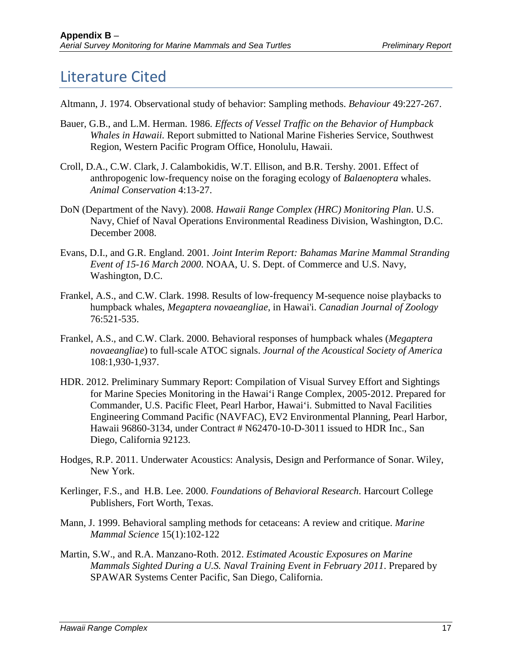### <span id="page-26-0"></span>Literature Cited

Altmann, J. 1974. Observational study of behavior: Sampling methods. *Behaviour* 49:227-267.

- Bauer, G.B., and L.M. Herman. 1986. *Effects of Vessel Traffic on the Behavior of Humpback Whales in Hawaii.* Report submitted to National Marine Fisheries Service, Southwest Region, Western Pacific Program Office, Honolulu, Hawaii.
- Croll, D.A., C.W. Clark, J. Calambokidis, W.T. Ellison, and B.R. Tershy. 2001. Effect of anthropogenic low-frequency noise on the foraging ecology of *Balaenoptera* whales. *Animal Conservation* 4:13-27.
- DoN (Department of the Navy). 2008. *Hawaii Range Complex (HRC) Monitoring Plan*. U.S. Navy, Chief of Naval Operations Environmental Readiness Division, Washington, D.C. December 2008.
- Evans, D.I., and G.R. England. 2001*. Joint Interim Report: Bahamas Marine Mammal Stranding Event of 15-16 March 2000*. NOAA, U. S. Dept. of Commerce and U.S. Navy, Washington, D.C.
- Frankel, A.S., and C.W. Clark. 1998. Results of low-frequency M-sequence noise playbacks to humpback whales, *Megaptera novaeangliae*, in Hawai'i. *Canadian Journal of Zoology* 76:521-535.
- Frankel, A.S., and C.W. Clark. 2000. Behavioral responses of humpback whales (*Megaptera novaeangliae*) to full-scale ATOC signals. *Journal of the Acoustical Society of America* 108:1,930-1,937.
- HDR. 2012. Preliminary Summary Report: Compilation of Visual Survey Effort and Sightings for Marine Species Monitoring in the Hawai'i Range Complex, 2005‐2012. Prepared for Commander, U.S. Pacific Fleet, Pearl Harbor, Hawai'i. Submitted to Naval Facilities Engineering Command Pacific (NAVFAC), EV2 Environmental Planning, Pearl Harbor, Hawaii 96860-3134, under Contract # N62470-10-D-3011 issued to HDR Inc., San Diego, California 92123.
- Hodges, R.P. 2011. Underwater Acoustics: Analysis, Design and Performance of Sonar. Wiley, New York.
- Kerlinger, F.S., and H.B. Lee. 2000. *Foundations of Behavioral Research*. Harcourt College Publishers, Fort Worth, Texas.
- Mann, J. 1999. Behavioral sampling methods for cetaceans: A review and critique. *Marine Mammal Science* 15(1):102-122
- Martin, S.W., and R.A. Manzano-Roth. 2012. *Estimated Acoustic Exposures on Marine Mammals Sighted During a U.S. Naval Training Event in February 2011*. Prepared by SPAWAR Systems Center Pacific, San Diego, California.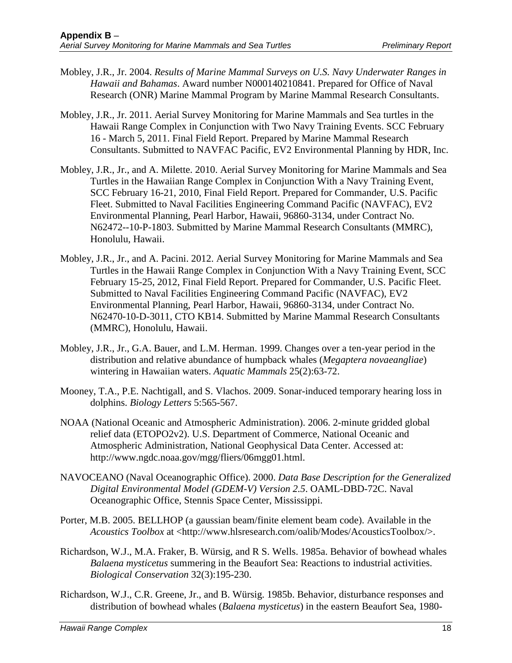- Mobley, J.R., Jr. 2004. *Results of Marine Mammal Surveys on U.S. Navy Underwater Ranges in Hawaii and Bahamas*. Award number N000140210841. Prepared for Office of Naval Research (ONR) Marine Mammal Program by Marine Mammal Research Consultants.
- Mobley, J.R., Jr. 2011. Aerial Survey Monitoring for Marine Mammals and Sea turtles in the Hawaii Range Complex in Conjunction with Two Navy Training Events. SCC February 16 - March 5, 2011. Final Field Report. Prepared by Marine Mammal Research Consultants. Submitted to NAVFAC Pacific, EV2 Environmental Planning by HDR, Inc.
- Mobley, J.R., Jr., and A. Milette. 2010. Aerial Survey Monitoring for Marine Mammals and Sea Turtles in the Hawaiian Range Complex in Conjunction With a Navy Training Event, SCC February 16-21, 2010, Final Field Report. Prepared for Commander, U.S. Pacific Fleet. Submitted to Naval Facilities Engineering Command Pacific (NAVFAC), EV2 Environmental Planning, Pearl Harbor, Hawaii, 96860-3134, under Contract No. N62472--10-P-1803. Submitted by Marine Mammal Research Consultants (MMRC), Honolulu, Hawaii.
- Mobley, J.R., Jr., and A. Pacini. 2012. Aerial Survey Monitoring for Marine Mammals and Sea Turtles in the Hawaii Range Complex in Conjunction With a Navy Training Event, SCC February 15-25, 2012, Final Field Report. Prepared for Commander, U.S. Pacific Fleet. Submitted to Naval Facilities Engineering Command Pacific (NAVFAC), EV2 Environmental Planning, Pearl Harbor, Hawaii, 96860-3134, under Contract No. N62470-10-D-3011, CTO KB14. Submitted by Marine Mammal Research Consultants (MMRC), Honolulu, Hawaii.
- Mobley, J.R., Jr., G.A. Bauer, and L.M. Herman. 1999. Changes over a ten-year period in the distribution and relative abundance of humpback whales (*Megaptera novaeangliae*) wintering in Hawaiian waters. *Aquatic Mammals* 25(2):63-72.
- Mooney, T.A., P.E. Nachtigall, and S. Vlachos. 2009. Sonar-induced temporary hearing loss in dolphins. *Biology Letters* 5:565-567.
- NOAA (National Oceanic and Atmospheric Administration). 2006. 2-minute gridded global relief data (ETOPO2v2). U.S. Department of Commerce, National Oceanic and Atmospheric Administration, National Geophysical Data Center. Accessed at: [http://www.ngdc.noaa.gov/mgg/fliers/06mgg01.html.](http://www.ngdc.noaa.gov/mgg/fliers/06mgg01.html)
- NAVOCEANO (Naval Oceanographic Office). 2000. *Data Base Description for the Generalized Digital Environmental Model (GDEM-V) Version 2.5*. OAML-DBD-72C. Naval Oceanographic Office, Stennis Space Center, Mississippi.
- Porter, M.B. 2005. BELLHOP (a gaussian beam/finite element beam code). Available in the *Acoustics Toolbox* at [<http://www.hlsresearch.com/oalib/Modes/AcousticsToolbox/>](http://www.hlsresearch.com/oalib/Modes/AcousticsToolbox/).
- Richardson, W.J., M.A. Fraker, B. Würsig, and R S. Wells. 1985a. Behavior of bowhead whales *Balaena mysticetus* summering in the Beaufort Sea: Reactions to industrial activities. *Biological Conservation* 32(3):195-230.
- Richardson, W.J., C.R. Greene, Jr., and B. Würsig. 1985b. Behavior, disturbance responses and distribution of bowhead whales (*Balaena mysticetus*) in the eastern Beaufort Sea, 1980-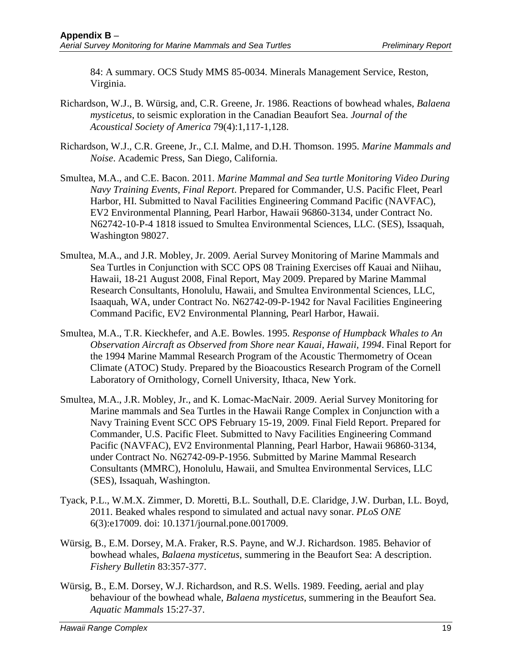84: A summary. OCS Study MMS 85-0034. Minerals Management Service, Reston, Virginia.

- Richardson, W.J., B. Würsig, and, C.R. Greene, Jr. 1986. Reactions of bowhead whales, *Balaena mysticetus*, to seismic exploration in the Canadian Beaufort Sea. *Journal of the Acoustical Society of America* 79(4):1,117-1,128.
- Richardson, W.J., C.R. Greene, Jr., C.I. Malme, and D.H. Thomson. 1995. *Marine Mammals and Noise*. Academic Press, San Diego, California.
- Smultea, M.A., and C.E. Bacon. 2011. *Marine Mammal and Sea turtle Monitoring Video During Navy Training Events, Final Report*. Prepared for Commander, U.S. Pacific Fleet, Pearl Harbor, HI. Submitted to Naval Facilities Engineering Command Pacific (NAVFAC), EV2 Environmental Planning, Pearl Harbor, Hawaii 96860-3134, under Contract No. N62742-10-P-4 1818 issued to Smultea Environmental Sciences, LLC. (SES), Issaquah, Washington 98027.
- Smultea, M.A., and J.R. Mobley, Jr. 2009. Aerial Survey Monitoring of Marine Mammals and Sea Turtles in Conjunction with SCC OPS 08 Training Exercises off Kauai and Niihau, Hawaii, 18-21 August 2008, Final Report, May 2009. Prepared by Marine Mammal Research Consultants, Honolulu, Hawaii, and Smultea Environmental Sciences, LLC, Isaaquah, WA, under Contract No. N62742-09-P-1942 for Naval Facilities Engineering Command Pacific, EV2 Environmental Planning, Pearl Harbor, Hawaii.
- Smultea, M.A., T.R. Kieckhefer, and A.E. Bowles. 1995. *Response of Humpback Whales to An Observation Aircraft as Observed from Shore near Kauai, Hawaii, 1994*. Final Report for the 1994 Marine Mammal Research Program of the Acoustic Thermometry of Ocean Climate (ATOC) Study. Prepared by the Bioacoustics Research Program of the Cornell Laboratory of Ornithology, Cornell University, Ithaca, New York.
- Smultea, M.A., J.R. Mobley, Jr., and K. Lomac-MacNair. 2009. Aerial Survey Monitoring for Marine mammals and Sea Turtles in the Hawaii Range Complex in Conjunction with a Navy Training Event SCC OPS February 15-19, 2009. Final Field Report. Prepared for Commander, U.S. Pacific Fleet. Submitted to Navy Facilities Engineering Command Pacific (NAVFAC), EV2 Environmental Planning, Pearl Harbor, Hawaii 96860-3134, under Contract No. N62742-09-P-1956. Submitted by Marine Mammal Research Consultants (MMRC), Honolulu, Hawaii, and Smultea Environmental Services, LLC (SES), Issaquah, Washington.
- Tyack, P.L., W.M.X. Zimmer, D. Moretti, B.L. Southall, D.E. Claridge, J.W. Durban, I.L. Boyd, 2011. Beaked whales respond to simulated and actual navy sonar. *PLoS ONE* 6(3):e17009. doi: 10.1371/journal.pone.0017009.
- Würsig, B., E.M. Dorsey, M.A. Fraker, R.S. Payne, and W.J. Richardson. 1985. Behavior of bowhead whales, *Balaena mysticetus*, summering in the Beaufort Sea: A description. *Fishery Bulletin* 83:357-377.
- Würsig, B., E.M. Dorsey, W.J. Richardson, and R.S. Wells. 1989. Feeding, aerial and play behaviour of the bowhead whale, *Balaena mysticetus*, summering in the Beaufort Sea. *Aquatic Mammals* 15:27-37.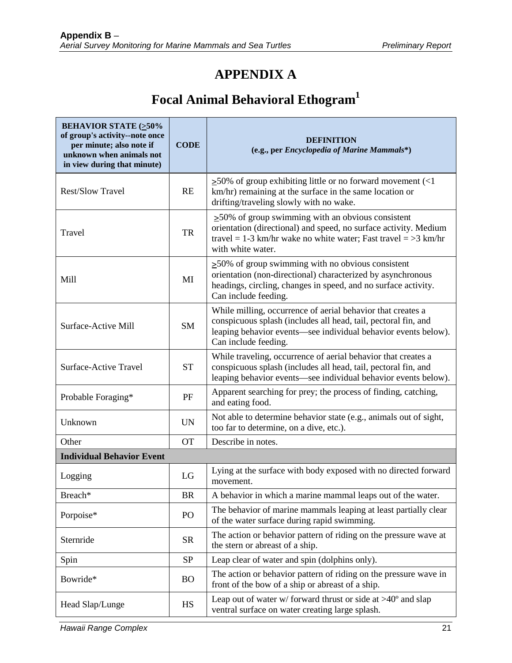### **APPENDIX A**

## **Focal Animal Behavioral Ethogram1**

<span id="page-30-0"></span>

| <b>BEHAVIOR STATE (&gt;50%</b><br>of group's activity--note once<br>per minute; also note if<br>unknown when animals not<br>in view during that minute) | <b>CODE</b> | <b>DEFINITION</b><br>(e.g., per Encyclopedia of Marine Mammals*)                                                                                                                                                        |  |
|---------------------------------------------------------------------------------------------------------------------------------------------------------|-------------|-------------------------------------------------------------------------------------------------------------------------------------------------------------------------------------------------------------------------|--|
| <b>Rest/Slow Travel</b>                                                                                                                                 | RE          | $\geq$ 50% of group exhibiting little or no forward movement (<1<br>km/hr) remaining at the surface in the same location or<br>drifting/traveling slowly with no wake.                                                  |  |
| Travel                                                                                                                                                  | TR          | $\geq$ 50% of group swimming with an obvious consistent<br>orientation (directional) and speed, no surface activity. Medium<br>travel = 1-3 km/hr wake no white water; Fast travel = $>$ 3 km/hr<br>with white water.   |  |
| <b>Mill</b>                                                                                                                                             | MI          | $\geq$ 50% of group swimming with no obvious consistent<br>orientation (non-directional) characterized by asynchronous<br>headings, circling, changes in speed, and no surface activity.<br>Can include feeding.        |  |
| Surface-Active Mill                                                                                                                                     | <b>SM</b>   | While milling, occurrence of aerial behavior that creates a<br>conspicuous splash (includes all head, tail, pectoral fin, and<br>leaping behavior events—see individual behavior events below).<br>Can include feeding. |  |
| Surface-Active Travel                                                                                                                                   | <b>ST</b>   | While traveling, occurrence of aerial behavior that creates a<br>conspicuous splash (includes all head, tail, pectoral fin, and<br>leaping behavior events—see individual behavior events below).                       |  |
| Probable Foraging*                                                                                                                                      | PF          | Apparent searching for prey; the process of finding, catching,<br>and eating food.                                                                                                                                      |  |
| Unknown                                                                                                                                                 | <b>UN</b>   | Not able to determine behavior state (e.g., animals out of sight,<br>too far to determine, on a dive, etc.).                                                                                                            |  |
| Other                                                                                                                                                   | <b>OT</b>   | Describe in notes.                                                                                                                                                                                                      |  |
| <b>Individual Behavior Event</b>                                                                                                                        |             |                                                                                                                                                                                                                         |  |
| LG<br>Logging                                                                                                                                           |             | Lying at the surface with body exposed with no directed forward<br>movement.                                                                                                                                            |  |
| Breach*                                                                                                                                                 | <b>BR</b>   | A behavior in which a marine mammal leaps out of the water.                                                                                                                                                             |  |
| Porpoise*                                                                                                                                               | PO          | The behavior of marine mammals leaping at least partially clear<br>of the water surface during rapid swimming.                                                                                                          |  |
| Sternride                                                                                                                                               | <b>SR</b>   | The action or behavior pattern of riding on the pressure wave at<br>the stern or abreast of a ship.                                                                                                                     |  |
| Spin                                                                                                                                                    | <b>SP</b>   | Leap clear of water and spin (dolphins only).                                                                                                                                                                           |  |
| Bowride*                                                                                                                                                | <b>BO</b>   | The action or behavior pattern of riding on the pressure wave in<br>front of the bow of a ship or abreast of a ship.                                                                                                    |  |
| Head Slap/Lunge                                                                                                                                         | HS          | Leap out of water $w/$ forward thrust or side at $>40^{\circ}$ and slap<br>ventral surface on water creating large splash.                                                                                              |  |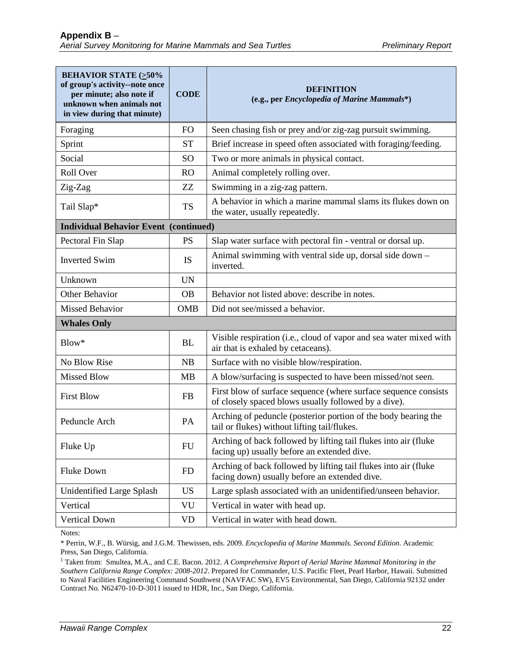| <b>BEHAVIOR STATE (&gt;50%</b><br>of group's activity--note once<br>per minute; also note if<br>unknown when animals not<br>in view during that minute) | <b>CODE</b> | <b>DEFINITION</b><br>(e.g., per Encyclopedia of Marine Mammals*)                                                        |  |  |  |  |
|---------------------------------------------------------------------------------------------------------------------------------------------------------|-------------|-------------------------------------------------------------------------------------------------------------------------|--|--|--|--|
| Foraging                                                                                                                                                | <b>FO</b>   | Seen chasing fish or prey and/or zig-zag pursuit swimming.                                                              |  |  |  |  |
| Sprint                                                                                                                                                  | <b>ST</b>   | Brief increase in speed often associated with foraging/feeding.                                                         |  |  |  |  |
| Social                                                                                                                                                  | <b>SO</b>   | Two or more animals in physical contact.                                                                                |  |  |  |  |
| Roll Over                                                                                                                                               | <b>RO</b>   | Animal completely rolling over.                                                                                         |  |  |  |  |
| Zig-Zag                                                                                                                                                 | ZZ          | Swimming in a zig-zag pattern.                                                                                          |  |  |  |  |
| Tail Slap*                                                                                                                                              | <b>TS</b>   | A behavior in which a marine mammal slams its flukes down on<br>the water, usually repeatedly.                          |  |  |  |  |
| <b>Individual Behavior Event (continued)</b>                                                                                                            |             |                                                                                                                         |  |  |  |  |
| Pectoral Fin Slap                                                                                                                                       | <b>PS</b>   | Slap water surface with pectoral fin - ventral or dorsal up.                                                            |  |  |  |  |
| <b>Inverted Swim</b>                                                                                                                                    | <b>IS</b>   | Animal swimming with ventral side up, dorsal side down -<br>inverted.                                                   |  |  |  |  |
| Unknown                                                                                                                                                 | <b>UN</b>   |                                                                                                                         |  |  |  |  |
| Other Behavior                                                                                                                                          | <b>OB</b>   | Behavior not listed above: describe in notes.                                                                           |  |  |  |  |
| <b>Missed Behavior</b>                                                                                                                                  | <b>OMB</b>  | Did not see/missed a behavior.                                                                                          |  |  |  |  |
| <b>Whales Only</b>                                                                                                                                      |             |                                                                                                                         |  |  |  |  |
| Blow*                                                                                                                                                   | <b>BL</b>   | Visible respiration (i.e., cloud of vapor and sea water mixed with<br>air that is exhaled by cetaceans).                |  |  |  |  |
| No Blow Rise                                                                                                                                            | NB          | Surface with no visible blow/respiration.                                                                               |  |  |  |  |
| <b>Missed Blow</b>                                                                                                                                      | <b>MB</b>   | A blow/surfacing is suspected to have been missed/not seen.                                                             |  |  |  |  |
| <b>First Blow</b>                                                                                                                                       | FB          | First blow of surface sequence (where surface sequence consists<br>of closely spaced blows usually followed by a dive). |  |  |  |  |
| Peduncle Arch                                                                                                                                           | PA          | Arching of peduncle (posterior portion of the body bearing the<br>tail or flukes) without lifting tail/flukes.          |  |  |  |  |
| Fluke Up                                                                                                                                                | <b>FU</b>   | Arching of back followed by lifting tail flukes into air (fluke<br>facing up) usually before an extended dive.          |  |  |  |  |
| Fluke Down                                                                                                                                              | FD          | Arching of back followed by lifting tail flukes into air (fluke<br>facing down) usually before an extended dive.        |  |  |  |  |
| Unidentified Large Splash                                                                                                                               | <b>US</b>   | Large splash associated with an unidentified/unseen behavior.                                                           |  |  |  |  |
| Vertical                                                                                                                                                | VU          | Vertical in water with head up.                                                                                         |  |  |  |  |
| <b>Vertical Down</b>                                                                                                                                    | <b>VD</b>   | Vertical in water with head down.                                                                                       |  |  |  |  |

Notes:

\* Perrin, W.F., B. Würsig, and J.G.M. Thewissen, eds. 2009. *Encyclopedia of Marine Mammals. Second Edition*. Academic

<sup>1</sup> Taken from: Smultea, M.A., and C.E. Bacon. 2012. *A Comprehensive Report of Aerial Marine Mammal Monitoring in the Southern California Range Complex: 2008-2012*. Prepared for Commander, U.S. Pacific Fleet, Pearl Harbor, Hawaii. Submitted to Naval Facilities Engineering Command Southwest (NAVFAC SW), EV5 Environmental, San Diego, California 92132 under Contract No. N62470-10-D-3011 issued to HDR, Inc., San Diego, California.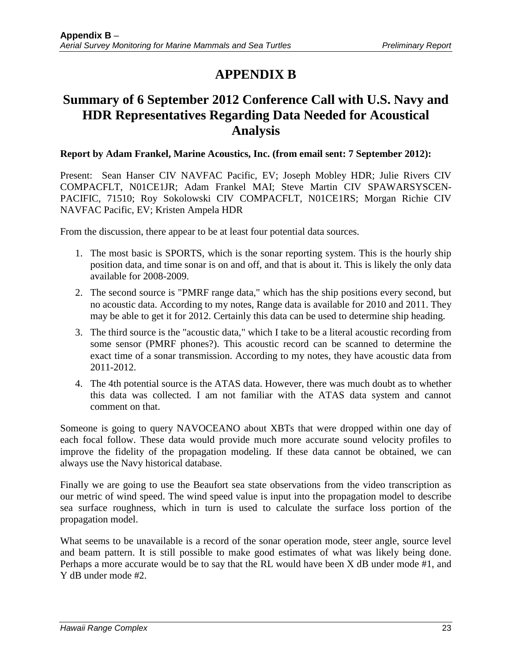### **APPENDIX B**

### <span id="page-32-0"></span>**Summary of 6 September 2012 Conference Call with U.S. Navy and HDR Representatives Regarding Data Needed for Acoustical Analysis**

#### **Report by Adam Frankel, Marine Acoustics, Inc. (from email sent: 7 September 2012):**

Present: Sean Hanser CIV NAVFAC Pacific, EV; Joseph Mobley HDR; Julie Rivers CIV COMPACFLT, N01CE1JR; Adam Frankel MAI; Steve Martin CIV SPAWARSYSCEN-PACIFIC, 71510; Roy Sokolowski CIV COMPACFLT, N01CE1RS; Morgan Richie CIV NAVFAC Pacific, EV; Kristen Ampela HDR

From the discussion, there appear to be at least four potential data sources.

- 1. The most basic is SPORTS, which is the sonar reporting system. This is the hourly ship position data, and time sonar is on and off, and that is about it. This is likely the only data available for 2008-2009.
- 2. The second source is "PMRF range data," which has the ship positions every second, but no acoustic data. According to my notes, Range data is available for 2010 and 2011. They may be able to get it for 2012. Certainly this data can be used to determine ship heading.
- 3. The third source is the "acoustic data," which I take to be a literal acoustic recording from some sensor (PMRF phones?). This acoustic record can be scanned to determine the exact time of a sonar transmission. According to my notes, they have acoustic data from 2011-2012.
- 4. The 4th potential source is the ATAS data. However, there was much doubt as to whether this data was collected. I am not familiar with the ATAS data system and cannot comment on that.

Someone is going to query NAVOCEANO about XBTs that were dropped within one day of each focal follow. These data would provide much more accurate sound velocity profiles to improve the fidelity of the propagation modeling. If these data cannot be obtained, we can always use the Navy historical database.

Finally we are going to use the Beaufort sea state observations from the video transcription as our metric of wind speed. The wind speed value is input into the propagation model to describe sea surface roughness, which in turn is used to calculate the surface loss portion of the propagation model.

What seems to be unavailable is a record of the sonar operation mode, steer angle, source level and beam pattern. It is still possible to make good estimates of what was likely being done. Perhaps a more accurate would be to say that the RL would have been X dB under mode #1, and Y dB under mode #2.